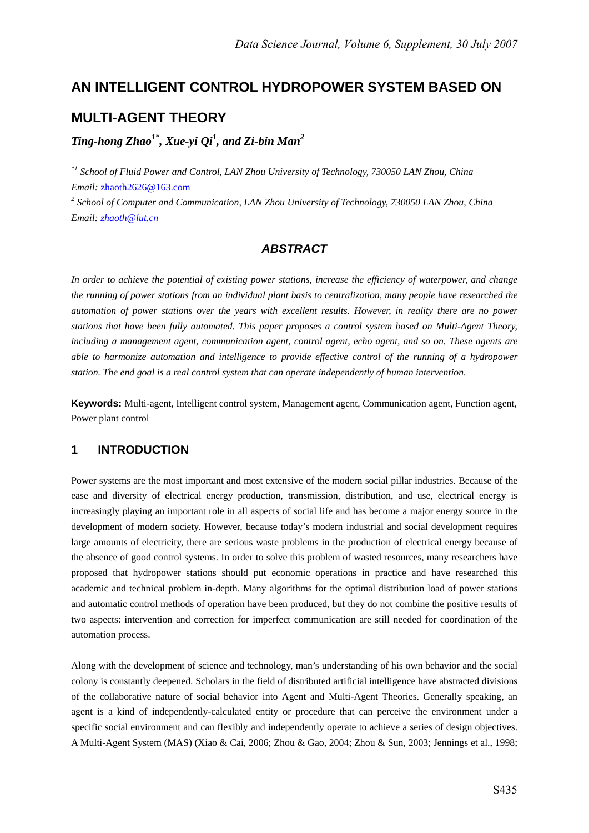# **AN INTELLIGENT CONTROL HYDROPOWER SYSTEM BASED ON**

# **MULTI-AGENT THEORY**

 $Ting-hong Zhao<sup>1*</sup>, Xue-yi Qi<sup>1</sup>, and Zi-bin Man<sup>2</sup>$ 

*\*1 School of Fluid Power and Control, LAN Zhou University of Technology, 730050 LAN Zhou, China Email:* zhaoth2626@163.com

*<sup>2</sup> School of Computer and Communication, LAN Zhou University of Technology, 730050 LAN Zhou, China Email: zhaoth@lut.cn*

## *ABSTRACT*

*In order to achieve the potential of existing power stations, increase the efficiency of waterpower, and change the running of power stations from an individual plant basis to centralization, many people have researched the automation of power stations over the years with excellent results. However, in reality there are no power stations that have been fully automated. This paper proposes a control system based on Multi-Agent Theory, including a management agent, communication agent, control agent, echo agent, and so on. These agents are able to harmonize automation and intelligence to provide effective control of the running of a hydropower station. The end goal is a real control system that can operate independently of human intervention.*

**Keywords:** Multi-agent, Intelligent control system, Management agent, Communication agent, Function agent, Power plant control

## **1 INTRODUCTION**

Power systems are the most important and most extensive of the modern social pillar industries. Because of the ease and diversity of electrical energy production, transmission, distribution, and use, electrical energy is increasingly playing an important role in all aspects of social life and has become a major energy source in the development of modern society. However, because today's modern industrial and social development requires large amounts of electricity, there are serious waste problems in the production of electrical energy because of the absence of good control systems. In order to solve this problem of wasted resources, many researchers have proposed that hydropower stations should put economic operations in practice and have researched this academic and technical problem in-depth. Many algorithms for the optimal distribution load of power stations and automatic control methods of operation have been produced, but they do not combine the positive results of two aspects: intervention and correction for imperfect communication are still needed for coordination of the automation process.

Along with the development of science and technology, man's understanding of his own behavior and the social colony is constantly deepened. Scholars in the field of distributed artificial intelligence have abstracted divisions of the collaborative nature of social behavior into Agent and Multi-Agent Theories. Generally speaking, an agent is a kind of independently-calculated entity or procedure that can perceive the environment under a specific social environment and can flexibly and independently operate to achieve a series of design objectives. A Multi-Agent System (MAS) (Xiao & Cai, 2006; Zhou & Gao, 2004; Zhou & Sun, 2003; Jennings et al., 1998;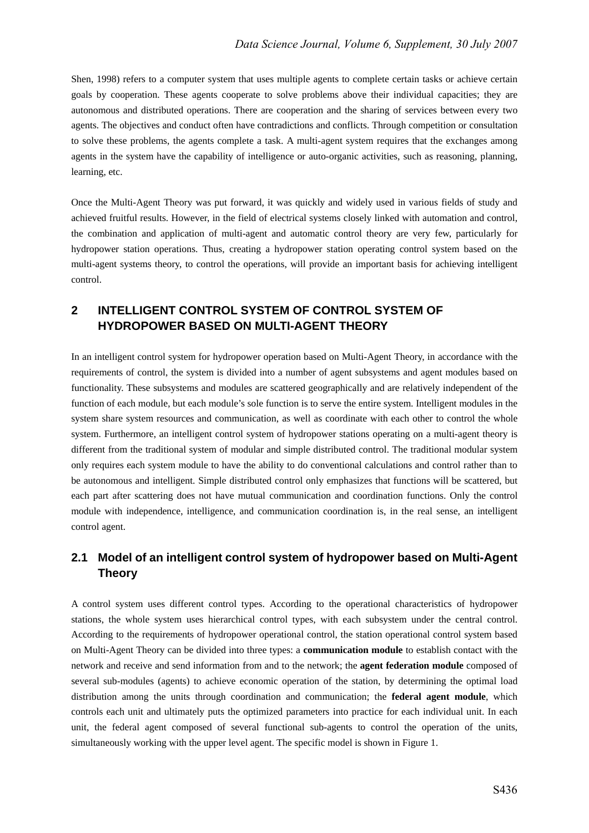Shen, 1998) refers to a computer system that uses multiple agents to complete certain tasks or achieve certain goals by cooperation. These agents cooperate to solve problems above their individual capacities; they are autonomous and distributed operations. There are cooperation and the sharing of services between every two agents. The objectives and conduct often have contradictions and conflicts. Through competition or consultation to solve these problems, the agents complete a task. A multi-agent system requires that the exchanges among agents in the system have the capability of intelligence or auto-organic activities, such as reasoning, planning, learning, etc.

Once the Multi-Agent Theory was put forward, it was quickly and widely used in various fields of study and achieved fruitful results. However, in the field of electrical systems closely linked with automation and control, the combination and application of multi-agent and automatic control theory are very few, particularly for hydropower station operations. Thus, creating a hydropower station operating control system based on the multi-agent systems theory, to control the operations, will provide an important basis for achieving intelligent control.

## **2 INTELLIGENT CONTROL SYSTEM OF CONTROL SYSTEM OF HYDROPOWER BASED ON MULTI-AGENT THEORY**

In an intelligent control system for hydropower operation based on Multi-Agent Theory, in accordance with the requirements of control, the system is divided into a number of agent subsystems and agent modules based on functionality. These subsystems and modules are scattered geographically and are relatively independent of the function of each module, but each module's sole function is to serve the entire system. Intelligent modules in the system share system resources and communication, as well as coordinate with each other to control the whole system. Furthermore, an intelligent control system of hydropower stations operating on a multi-agent theory is different from the traditional system of modular and simple distributed control. The traditional modular system only requires each system module to have the ability to do conventional calculations and control rather than to be autonomous and intelligent. Simple distributed control only emphasizes that functions will be scattered, but each part after scattering does not have mutual communication and coordination functions. Only the control module with independence, intelligence, and communication coordination is, in the real sense, an intelligent control agent.

## **2.1 Model of an intelligent control system of hydropower based on Multi-Agent Theory**

A control system uses different control types. According to the operational characteristics of hydropower stations, the whole system uses hierarchical control types, with each subsystem under the central control. According to the requirements of hydropower operational control, the station operational control system based on Multi-Agent Theory can be divided into three types: a **communication module** to establish contact with the network and receive and send information from and to the network; the **agent federation module** composed of several sub-modules (agents) to achieve economic operation of the station, by determining the optimal load distribution among the units through coordination and communication; the **federal agent module**, which controls each unit and ultimately puts the optimized parameters into practice for each individual unit. In each unit, the federal agent composed of several functional sub-agents to control the operation of the units, simultaneously working with the upper level agent. The specific model is shown in Figure 1.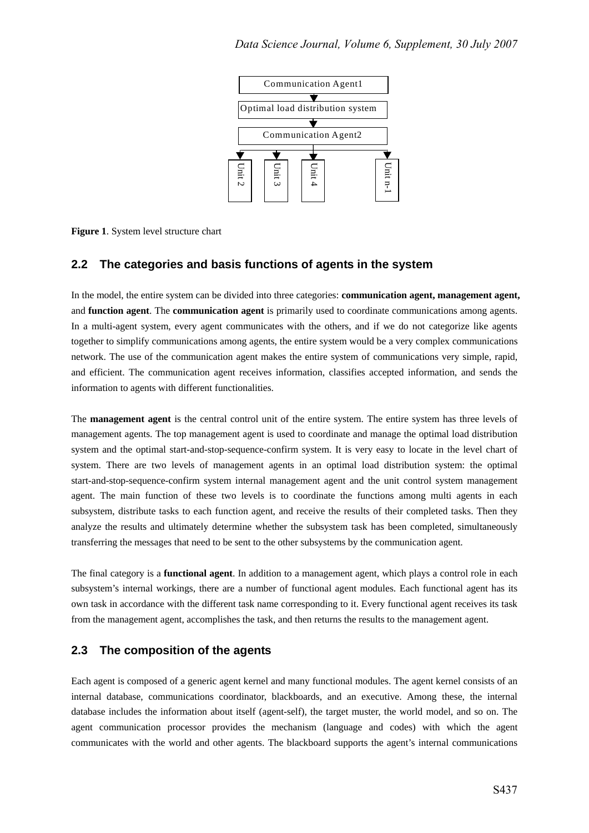

**Figure 1**. System level structure chart

### **2.2 The categories and basis functions of agents in the system**

In the model, the entire system can be divided into three categories: **communication agent, management agent,**  and **function agent**. The **communication agent** is primarily used to coordinate communications among agents. In a multi-agent system, every agent communicates with the others, and if we do not categorize like agents together to simplify communications among agents, the entire system would be a very complex communications network. The use of the communication agent makes the entire system of communications very simple, rapid, and efficient. The communication agent receives information, classifies accepted information, and sends the information to agents with different functionalities.

The **management agent** is the central control unit of the entire system. The entire system has three levels of management agents. The top management agent is used to coordinate and manage the optimal load distribution system and the optimal start-and-stop-sequence-confirm system. It is very easy to locate in the level chart of system. There are two levels of management agents in an optimal load distribution system: the optimal start-and-stop-sequence-confirm system internal management agent and the unit control system management agent. The main function of these two levels is to coordinate the functions among multi agents in each subsystem, distribute tasks to each function agent, and receive the results of their completed tasks. Then they analyze the results and ultimately determine whether the subsystem task has been completed, simultaneously transferring the messages that need to be sent to the other subsystems by the communication agent.

The final category is a **functional agent**. In addition to a management agent, which plays a control role in each subsystem's internal workings, there are a number of functional agent modules. Each functional agent has its own task in accordance with the different task name corresponding to it. Every functional agent receives its task from the management agent, accomplishes the task, and then returns the results to the management agent.

### **2.3 The composition of the agents**

Each agent is composed of a generic agent kernel and many functional modules. The agent kernel consists of an internal database, communications coordinator, blackboards, and an executive. Among these, the internal database includes the information about itself (agent-self), the target muster, the world model, and so on. The agent communication processor provides the mechanism (language and codes) with which the agent communicates with the world and other agents. The blackboard supports the agent's internal communications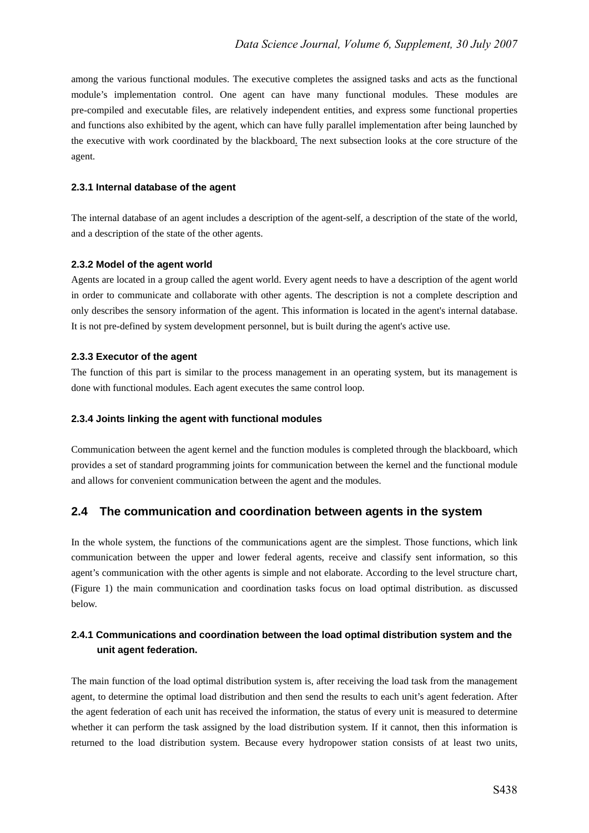among the various functional modules. The executive completes the assigned tasks and acts as the functional module's implementation control. One agent can have many functional modules. These modules are pre-compiled and executable files, are relatively independent entities, and express some functional properties and functions also exhibited by the agent, which can have fully parallel implementation after being launched by the executive with work coordinated by the blackboard. The next subsection looks at the core structure of the agent.

#### **2.3.1 Internal database of the agent**

The internal database of an agent includes a description of the agent-self, a description of the state of the world, and a description of the state of the other agents.

#### **2.3.2 Model of the agent world**

Agents are located in a group called the agent world. Every agent needs to have a description of the agent world in order to communicate and collaborate with other agents. The description is not a complete description and only describes the sensory information of the agent. This information is located in the agent's internal database. It is not pre-defined by system development personnel, but is built during the agent's active use.

#### **2.3.3 Executor of the agent**

The function of this part is similar to the process management in an operating system, but its management is done with functional modules. Each agent executes the same control loop.

#### **2.3.4 Joints linking the agent with functional modules**

Communication between the agent kernel and the function modules is completed through the blackboard, which provides a set of standard programming joints for communication between the kernel and the functional module and allows for convenient communication between the agent and the modules.

### **2.4 The communication and coordination between agents in the system**

In the whole system, the functions of the communications agent are the simplest. Those functions, which link communication between the upper and lower federal agents, receive and classify sent information, so this agent's communication with the other agents is simple and not elaborate. According to the level structure chart, (Figure 1) the main communication and coordination tasks focus on load optimal distribution. as discussed below.

## **2.4.1 Communications and coordination between the load optimal distribution system and the unit agent federation.**

The main function of the load optimal distribution system is, after receiving the load task from the management agent, to determine the optimal load distribution and then send the results to each unit's agent federation. After the agent federation of each unit has received the information, the status of every unit is measured to determine whether it can perform the task assigned by the load distribution system. If it cannot, then this information is returned to the load distribution system. Because every hydropower station consists of at least two units,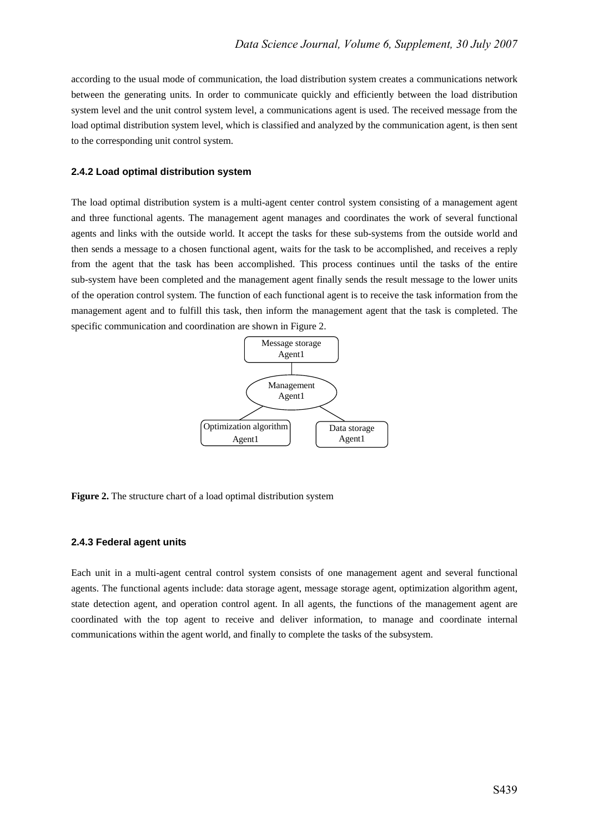according to the usual mode of communication, the load distribution system creates a communications network between the generating units. In order to communicate quickly and efficiently between the load distribution system level and the unit control system level, a communications agent is used. The received message from the load optimal distribution system level, which is classified and analyzed by the communication agent, is then sent to the corresponding unit control system.

#### **2.4.2 Load optimal distribution system**

The load optimal distribution system is a multi-agent center control system consisting of a management agent and three functional agents. The management agent manages and coordinates the work of several functional agents and links with the outside world. It accept the tasks for these sub-systems from the outside world and then sends a message to a chosen functional agent, waits for the task to be accomplished, and receives a reply from the agent that the task has been accomplished. This process continues until the tasks of the entire sub-system have been completed and the management agent finally sends the result message to the lower units of the operation control system. The function of each functional agent is to receive the task information from the management agent and to fulfill this task, then inform the management agent that the task is completed. The specific communication and coordination are shown in Figure 2.



**Figure 2.** The structure chart of a load optimal distribution system

#### **2.4.3 Federal agent units**

Each unit in a multi-agent central control system consists of one management agent and several functional agents. The functional agents include: data storage agent, message storage agent, optimization algorithm agent, state detection agent, and operation control agent. In all agents, the functions of the management agent are coordinated with the top agent to receive and deliver information, to manage and coordinate internal communications within the agent world, and finally to complete the tasks of the subsystem.